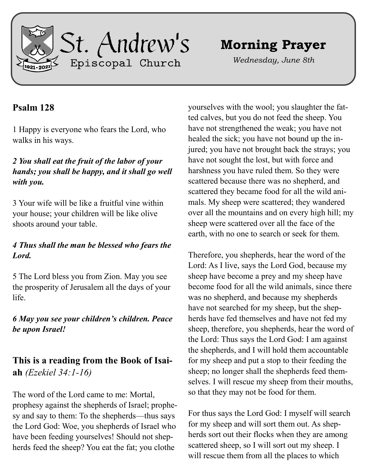

# **Morning Prayer**

*Wednesday, June 8th*

## **Psalm 128**

1 Happy is everyone who fears the Lord, who walks in his ways.

#### *2 You shall eat the fruit of the labor of your hands; you shall be happy, and it shall go well with you.*

3 Your wife will be like a fruitful vine within your house; your children will be like olive shoots around your table.

#### *4 Thus shall the man be blessed who fears the Lord.*

5 The Lord bless you from Zion. May you see the prosperity of Jerusalem all the days of your life.

#### *6 May you see your children's children. Peace be upon Israel!*

# **This is a reading from the Book of Isaiah** *(Ezekiel 34:1-16)*

The word of the Lord came to me: Mortal, prophesy against the shepherds of Israel; prophesy and say to them: To the shepherds—thus says the Lord God: Woe, you shepherds of Israel who have been feeding yourselves! Should not shepherds feed the sheep? You eat the fat; you clothe

yourselves with the wool; you slaughter the fatted calves, but you do not feed the sheep. You have not strengthened the weak; you have not healed the sick; you have not bound up the injured; you have not brought back the strays; you have not sought the lost, but with force and harshness you have ruled them. So they were scattered because there was no shepherd, and scattered they became food for all the wild animals. My sheep were scattered; they wandered over all the mountains and on every high hill; my sheep were scattered over all the face of the earth, with no one to search or seek for them.

Therefore, you shepherds, hear the word of the Lord: As I live, says the Lord God, because my sheep have become a prey and my sheep have become food for all the wild animals, since there was no shepherd, and because my shepherds have not searched for my sheep, but the shepherds have fed themselves and have not fed my sheep, therefore, you shepherds, hear the word of the Lord: Thus says the Lord God: I am against the shepherds, and I will hold them accountable for my sheep and put a stop to their feeding the sheep; no longer shall the shepherds feed themselves. I will rescue my sheep from their mouths, so that they may not be food for them.

For thus says the Lord God: I myself will search for my sheep and will sort them out. As shepherds sort out their flocks when they are among scattered sheep, so I will sort out my sheep. I will rescue them from all the places to which